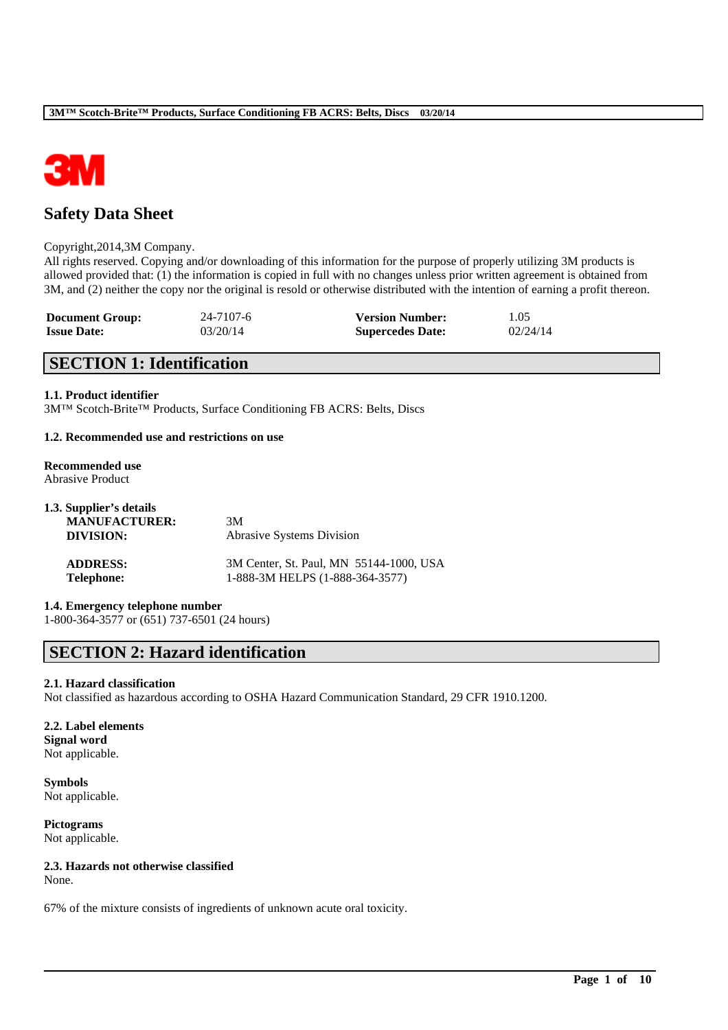

# **Safety Data Sheet**

### Copyright,2014,3M Company.

All rights reserved. Copying and/or downloading of this information for the purpose of properly utilizing 3M products is allowed provided that: (1) the information is copied in full with no changes unless prior written agreement is obtained from 3M, and (2) neither the copy nor the original is resold or otherwise distributed with the intention of earning a profit thereon.

| <b>Document Group:</b> | 24-7107-6 | <b>Version Number:</b>  | 1.05     |
|------------------------|-----------|-------------------------|----------|
| <b>Issue Date:</b>     | 03/20/14  | <b>Supercedes Date:</b> | 02/24/14 |

## **SECTION 1: Identification**

### **1.1. Product identifier**

3M™ Scotch-Brite™ Products, Surface Conditioning FB ACRS: Belts, Discs

### **1.2. Recommended use and restrictions on use**

#### **Recommended use** Abrasive Product

| 1.3. Supplier's details |                                         |
|-------------------------|-----------------------------------------|
| <b>MANUFACTURER:</b>    | 3M                                      |
| DIVISION:               | Abrasive Systems Division               |
| <b>ADDRESS:</b>         | 3M Center, St. Paul, MN 55144-1000, USA |
| <b>Telephone:</b>       | 1-888-3M HELPS (1-888-364-3577)         |

## **1.4. Emergency telephone number**

1-800-364-3577 or (651) 737-6501 (24 hours)

## **SECTION 2: Hazard identification**

## **2.1. Hazard classification**

Not classified as hazardous according to OSHA Hazard Communication Standard, 29 CFR 1910.1200.

\_\_\_\_\_\_\_\_\_\_\_\_\_\_\_\_\_\_\_\_\_\_\_\_\_\_\_\_\_\_\_\_\_\_\_\_\_\_\_\_\_\_\_\_\_\_\_\_\_\_\_\_\_\_\_\_\_\_\_\_\_\_\_\_\_\_\_\_\_\_\_\_\_\_\_\_\_\_\_\_\_\_\_\_\_\_\_\_\_\_

### **2.2. Label elements Signal word** Not applicable.

**Symbols** Not applicable.

**Pictograms** Not applicable.

## **2.3. Hazards not otherwise classified**

None.

67% of the mixture consists of ingredients of unknown acute oral toxicity.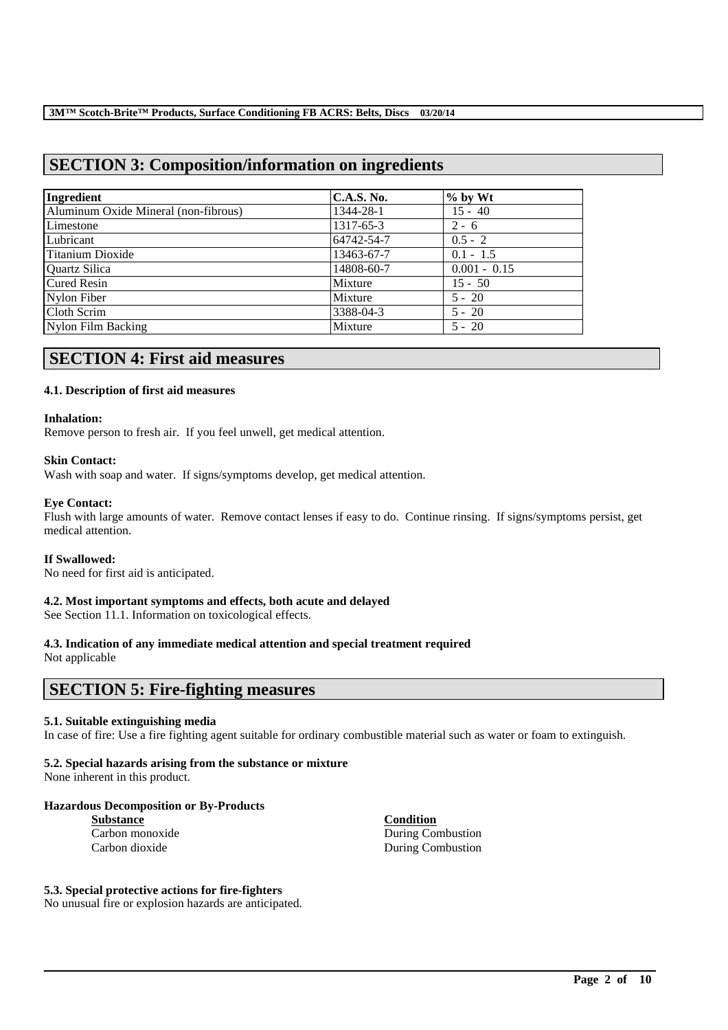# **SECTION 3: Composition/information on ingredients**

| Ingredient                           | C.A.S. No. | $%$ by Wt      |
|--------------------------------------|------------|----------------|
| Aluminum Oxide Mineral (non-fibrous) | 1344-28-1  | $15 - 40$      |
| Limestone                            | 1317-65-3  | $2 - 6$        |
| Lubricant                            | 64742-54-7 | $0.5 - 2$      |
| Titanium Dioxide                     | 13463-67-7 | $0.1 - 1.5$    |
| Quartz Silica                        | 14808-60-7 | $0.001 - 0.15$ |
| <b>Cured Resin</b>                   | Mixture    | $15 - 50$      |
| Nylon Fiber                          | Mixture    | $5 - 20$       |
| Cloth Scrim                          | 3388-04-3  | $5 - 20$       |
| Nylon Film Backing                   | Mixture    | $5 - 20$       |

# **SECTION 4: First aid measures**

## **4.1. Description of first aid measures**

### **Inhalation:**

Remove person to fresh air. If you feel unwell, get medical attention.

### **Skin Contact:**

Wash with soap and water. If signs/symptoms develop, get medical attention.

## **Eye Contact:**

Flush with large amounts of water. Remove contact lenses if easy to do. Continue rinsing. If signs/symptoms persist, get medical attention.

### **If Swallowed:**

No need for first aid is anticipated.

## **4.2. Most important symptoms and effects, both acute and delayed**

See Section 11.1. Information on toxicological effects.

## **4.3. Indication of any immediate medical attention and special treatment required**

Not applicable

# **SECTION 5: Fire-fighting measures**

### **5.1. Suitable extinguishing media**

In case of fire: Use a fire fighting agent suitable for ordinary combustible material such as water or foam to extinguish.

\_\_\_\_\_\_\_\_\_\_\_\_\_\_\_\_\_\_\_\_\_\_\_\_\_\_\_\_\_\_\_\_\_\_\_\_\_\_\_\_\_\_\_\_\_\_\_\_\_\_\_\_\_\_\_\_\_\_\_\_\_\_\_\_\_\_\_\_\_\_\_\_\_\_\_\_\_\_\_\_\_\_\_\_\_\_\_\_\_\_

## **5.2. Special hazards arising from the substance or mixture**

None inherent in this product.

### **Hazardous Decomposition or By-Products**

| <b>Substance</b> |  |  |  |  |  |
|------------------|--|--|--|--|--|
| Carbon monoxide  |  |  |  |  |  |
| Carbon dioxide   |  |  |  |  |  |

**Substance Condition** During Combustion During Combustion

## **5.3. Special protective actions for fire-fighters**

No unusual fire or explosion hazards are anticipated.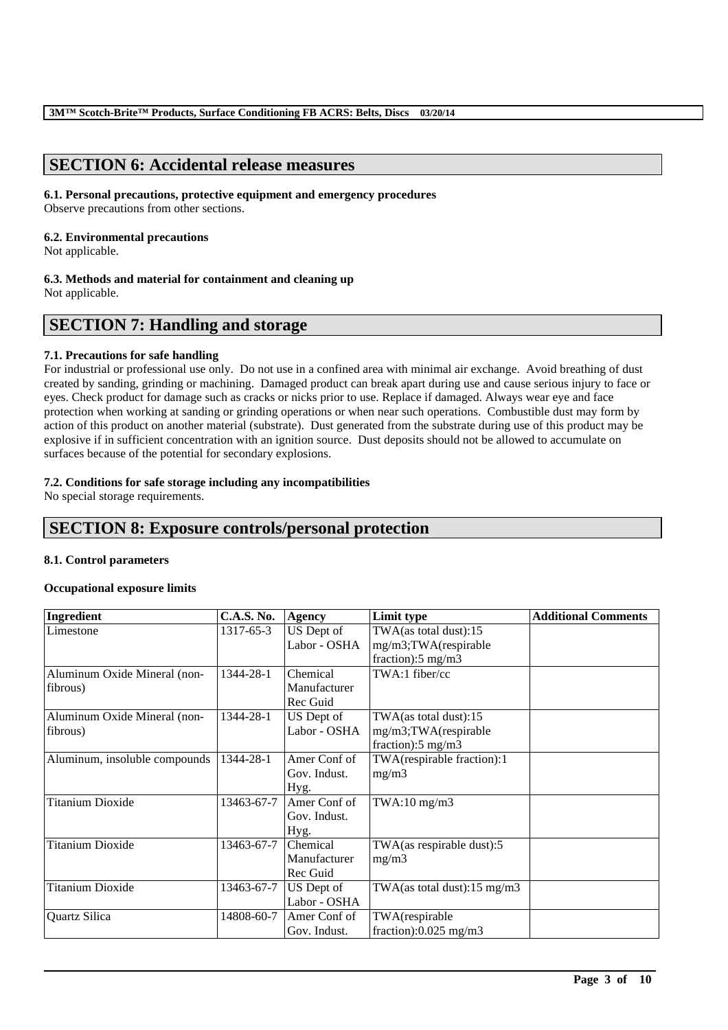# **SECTION 6: Accidental release measures**

## **6.1. Personal precautions, protective equipment and emergency procedures**

Observe precautions from other sections.

# **6.2. Environmental precautions**

Not applicable.

# **6.3. Methods and material for containment and cleaning up**

Not applicable.

# **SECTION 7: Handling and storage**

## **7.1. Precautions for safe handling**

For industrial or professional use only. Do not use in a confined area with minimal air exchange. Avoid breathing of dust created by sanding, grinding or machining. Damaged product can break apart during use and cause serious injury to face or eyes. Check product for damage such as cracks or nicks prior to use. Replace if damaged. Always wear eye and face protection when working at sanding or grinding operations or when near such operations. Combustible dust may form by action of this product on another material (substrate). Dust generated from the substrate during use of this product may be explosive if in sufficient concentration with an ignition source. Dust deposits should not be allowed to accumulate on surfaces because of the potential for secondary explosions.

## **7.2. Conditions for safe storage including any incompatibilities**

No special storage requirements.

# **SECTION 8: Exposure controls/personal protection**

## **8.1. Control parameters**

## **Occupational exposure limits**

| Ingredient                    | <b>C.A.S. No.</b> | <b>Agency</b> | Limit type                    | <b>Additional Comments</b> |
|-------------------------------|-------------------|---------------|-------------------------------|----------------------------|
| Limestone                     | 1317-65-3         | US Dept of    | TWA(as total dust):15         |                            |
|                               |                   | Labor - OSHA  | mg/m3;TWA(respirable          |                            |
|                               |                   |               | fraction): $5 \text{ mg/m}$ 3 |                            |
| Aluminum Oxide Mineral (non-  | 1344-28-1         | Chemical      | TWA:1 fiber/cc                |                            |
| fibrous)                      |                   | Manufacturer  |                               |                            |
|                               |                   | Rec Guid      |                               |                            |
| Aluminum Oxide Mineral (non-  | 1344-28-1         | US Dept of    | TWA(as total dust):15         |                            |
| fibrous)                      |                   | Labor - OSHA  | mg/m3;TWA(respirable          |                            |
|                               |                   |               | fraction): $5 \text{ mg/m}$ 3 |                            |
| Aluminum, insoluble compounds | 1344-28-1         | Amer Conf of  | TWA(respirable fraction):1    |                            |
|                               |                   | Gov. Indust.  | mg/m3                         |                            |
|                               |                   | Hyg.          |                               |                            |
| <b>Titanium Dioxide</b>       | 13463-67-7        | Amer Conf of  | $TWA:10$ mg/m $3$             |                            |
|                               |                   | Gov. Indust.  |                               |                            |
|                               |                   | Hyg.          |                               |                            |
| <b>Titanium Dioxide</b>       | 13463-67-7        | Chemical      | TWA(as respirable dust):5     |                            |
|                               |                   | Manufacturer  | mg/m3                         |                            |
|                               |                   | Rec Guid      |                               |                            |
| <b>Titanium Dioxide</b>       | 13463-67-7        | US Dept of    | TWA(as total dust):15 mg/m3   |                            |
|                               |                   | Labor - OSHA  |                               |                            |
| Quartz Silica                 | 14808-60-7        | Amer Conf of  | TWA(respirable                |                            |
|                               |                   | Gov. Indust.  | fraction): $0.025$ mg/m3      |                            |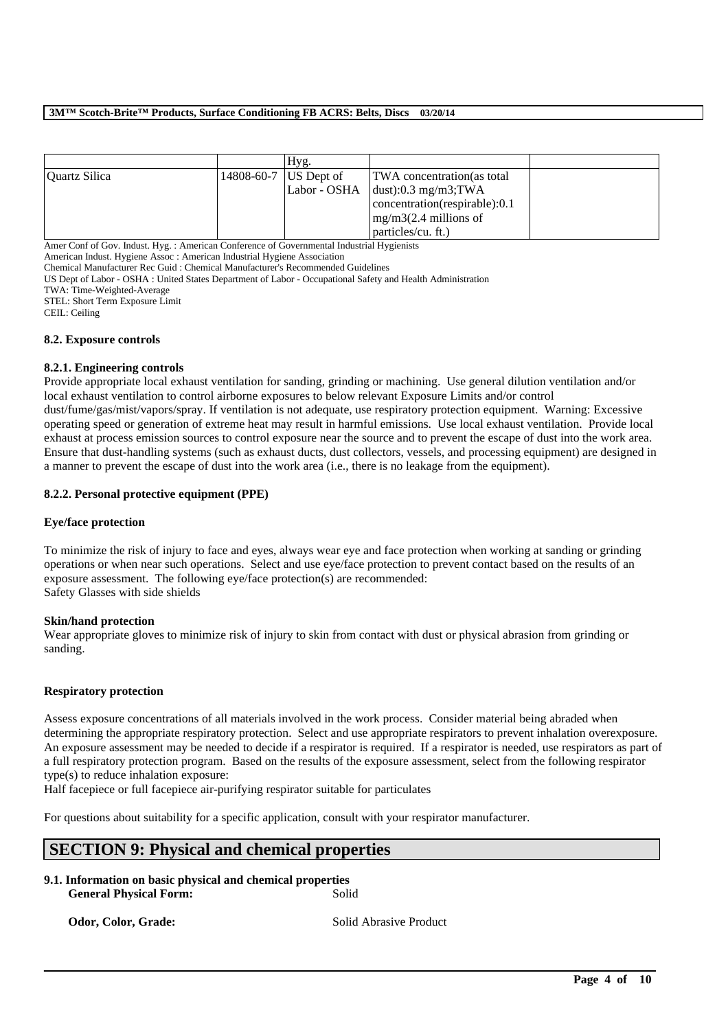### **3M™ Scotch-Brite™ Products, Surface Conditioning FB ACRS: Belts, Discs 03/20/14**

|               | Hyg.                    |                                           |  |
|---------------|-------------------------|-------------------------------------------|--|
| Quartz Silica | 14808-60-7   US Dept of | TWA concentration (as total               |  |
|               |                         | Labor - OSHA $\left $ dust):0.3 mg/m3;TWA |  |
|               |                         | concentration(respirable):0.1             |  |
|               |                         | $mg/m3(2.4$ millions of                   |  |
|               |                         | particles/cu. ft.)                        |  |

Amer Conf of Gov. Indust. Hyg. : American Conference of Governmental Industrial Hygienists

American Indust. Hygiene Assoc : American Industrial Hygiene Association

Chemical Manufacturer Rec Guid : Chemical Manufacturer's Recommended Guidelines

US Dept of Labor - OSHA : United States Department of Labor - Occupational Safety and Health Administration

TWA: Time-Weighted-Average

STEL: Short Term Exposure Limit

CEIL: Ceiling

### **8.2. Exposure controls**

### **8.2.1. Engineering controls**

Provide appropriate local exhaust ventilation for sanding, grinding or machining. Use general dilution ventilation and/or local exhaust ventilation to control airborne exposures to below relevant Exposure Limits and/or control dust/fume/gas/mist/vapors/spray. If ventilation is not adequate, use respiratory protection equipment. Warning: Excessive operating speed or generation of extreme heat may result in harmful emissions. Use local exhaust ventilation. Provide local exhaust at process emission sources to control exposure near the source and to prevent the escape of dust into the work area. Ensure that dust-handling systems (such as exhaust ducts, dust collectors, vessels, and processing equipment) are designed in a manner to prevent the escape of dust into the work area (i.e., there is no leakage from the equipment).

## **8.2.2. Personal protective equipment (PPE)**

## **Eye/face protection**

To minimize the risk of injury to face and eyes, always wear eye and face protection when working at sanding or grinding operations or when near such operations. Select and use eye/face protection to prevent contact based on the results of an exposure assessment. The following eye/face protection(s) are recommended: Safety Glasses with side shields

### **Skin/hand protection**

Wear appropriate gloves to minimize risk of injury to skin from contact with dust or physical abrasion from grinding or sanding.

### **Respiratory protection**

Assess exposure concentrations of all materials involved in the work process. Consider material being abraded when determining the appropriate respiratory protection. Select and use appropriate respirators to prevent inhalation overexposure. An exposure assessment may be needed to decide if a respirator is required. If a respirator is needed, use respirators as part of a full respiratory protection program. Based on the results of the exposure assessment, select from the following respirator type(s) to reduce inhalation exposure:

Half facepiece or full facepiece air-purifying respirator suitable for particulates

For questions about suitability for a specific application, consult with your respirator manufacturer.

## **SECTION 9: Physical and chemical properties**

**9.1. Information on basic physical and chemical properties General Physical Form:** Solid

**Odor, Color, Grade:** Solid Abrasive Product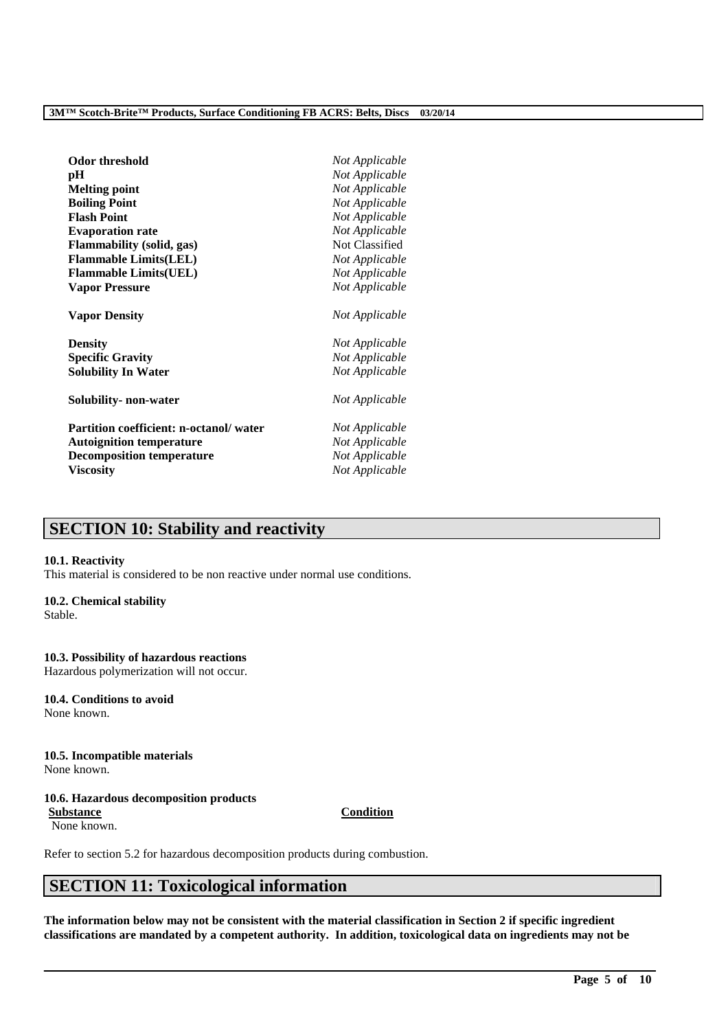| Odor threshold                                | Not Applicable |
|-----------------------------------------------|----------------|
| pН                                            | Not Applicable |
| <b>Melting point</b>                          | Not Applicable |
| <b>Boiling Point</b>                          | Not Applicable |
| <b>Flash Point</b>                            | Not Applicable |
| <b>Evaporation rate</b>                       | Not Applicable |
| Flammability (solid, gas)                     | Not Classified |
| <b>Flammable Limits(LEL)</b>                  | Not Applicable |
| <b>Flammable Limits(UEL)</b>                  | Not Applicable |
| <b>Vapor Pressure</b>                         | Not Applicable |
| <b>Vapor Density</b>                          | Not Applicable |
| <b>Density</b>                                | Not Applicable |
| <b>Specific Gravity</b>                       | Not Applicable |
| <b>Solubility In Water</b>                    | Not Applicable |
| Solubility- non-water                         | Not Applicable |
| <b>Partition coefficient: n-octanol/water</b> | Not Applicable |
| <b>Autoignition temperature</b>               | Not Applicable |
| <b>Decomposition temperature</b>              | Not Applicable |
| <b>Viscosity</b>                              | Not Applicable |

# **SECTION 10: Stability and reactivity**

### **10.1. Reactivity**

This material is considered to be non reactive under normal use conditions.

### **10.2. Chemical stability**

Stable.

## **10.3. Possibility of hazardous reactions**

Hazardous polymerization will not occur.

#### **10.4. Conditions to avoid** None known.

**10.5. Incompatible materials** None known.

## **10.6. Hazardous decomposition products**

**Substance Condition** None known.

Refer to section 5.2 for hazardous decomposition products during combustion.

# **SECTION 11: Toxicological information**

**The information below may not be consistent with the material classification in Section 2 if specific ingredient classifications are mandated by a competent authority. In addition, toxicological data on ingredients may not be**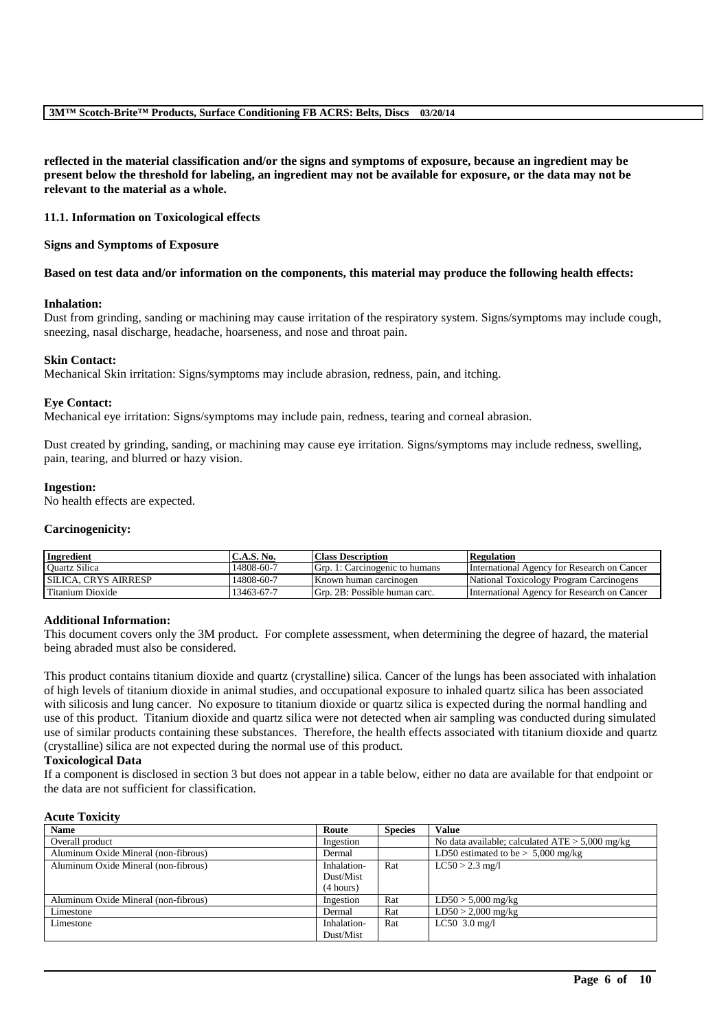**reflected in the material classification and/or the signs and symptoms of exposure, because an ingredient may be present below the threshold for labeling, an ingredient may not be available for exposure, or the data may not be relevant to the material as a whole.**

### **11.1. Information on Toxicological effects**

### **Signs and Symptoms of Exposure**

### **Based on test data and/or information on the components, this material may produce the following health effects:**

### **Inhalation:**

Dust from grinding, sanding or machining may cause irritation of the respiratory system. Signs/symptoms may include cough, sneezing, nasal discharge, headache, hoarseness, and nose and throat pain.

### **Skin Contact:**

Mechanical Skin irritation: Signs/symptoms may include abrasion, redness, pain, and itching.

### **Eye Contact:**

Mechanical eye irritation: Signs/symptoms may include pain, redness, tearing and corneal abrasion.

Dust created by grinding, sanding, or machining may cause eye irritation. Signs/symptoms may include redness, swelling, pain, tearing, and blurred or hazy vision.

### **Ingestion:**

No health effects are expected.

### **Carcinogenicity:**

| <b>Ingredient</b>           | C.A.S. No. | <b>Class Description</b>       | <b>Regulation</b>                           |
|-----------------------------|------------|--------------------------------|---------------------------------------------|
| <b>Ouartz Silica</b>        | 14808-60-7 | Grp. 1: Carcinogenic to humans | International Agency for Research on Cancer |
| <b>SILICA. CRYS AIRRESP</b> | 14808-60-7 | Known human carcinogen         | National Toxicology Program Carcinogens     |
| Titanium Dioxide            | 13463-67-7 | Grp. 2B: Possible human carc.  | International Agency for Research on Cancer |

### **Additional Information:**

This document covers only the 3M product. For complete assessment, when determining the degree of hazard, the material being abraded must also be considered.

This product contains titanium dioxide and quartz (crystalline) silica. Cancer of the lungs has been associated with inhalation of high levels of titanium dioxide in animal studies, and occupational exposure to inhaled quartz silica has been associated with silicosis and lung cancer. No exposure to titanium dioxide or quartz silica is expected during the normal handling and use of this product. Titanium dioxide and quartz silica were not detected when air sampling was conducted during simulated use of similar products containing these substances. Therefore, the health effects associated with titanium dioxide and quartz (crystalline) silica are not expected during the normal use of this product.

### **Toxicological Data**

If a component is disclosed in section 3 but does not appear in a table below, either no data are available for that endpoint or the data are not sufficient for classification.

### **Acute Toxicity**

| <b>Name</b>                          | Route       | <b>Species</b> | <b>Value</b>                                      |
|--------------------------------------|-------------|----------------|---------------------------------------------------|
| Overall product                      | Ingestion   |                | No data available; calculated $ATE > 5,000$ mg/kg |
| Aluminum Oxide Mineral (non-fibrous) | Dermal      |                | LD50 estimated to be $> 5,000$ mg/kg              |
| Aluminum Oxide Mineral (non-fibrous) | Inhalation- | Rat            | $LC50 > 2.3$ mg/l                                 |
|                                      | Dust/Mist   |                |                                                   |
|                                      | (4 hours)   |                |                                                   |
| Aluminum Oxide Mineral (non-fibrous) | Ingestion   | Rat            | $LD50 > 5,000$ mg/kg                              |
| Limestone                            | Dermal      | Rat            | $LD50 > 2,000$ mg/kg                              |
| Limestone                            | Inhalation- | Rat            | $LC50$ 3.0 mg/l                                   |
|                                      | Dust/Mist   |                |                                                   |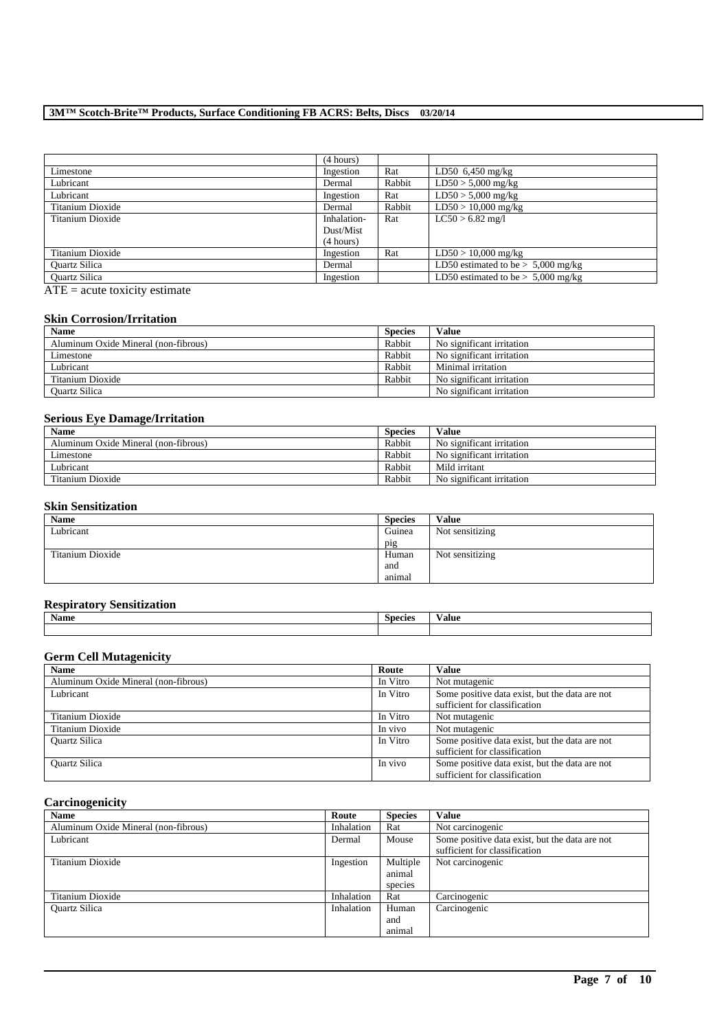## **3M™ Scotch-Brite™ Products, Surface Conditioning FB ACRS: Belts, Discs 03/20/14**

|                      | (4 hours)   |        |                                      |
|----------------------|-------------|--------|--------------------------------------|
| Limestone            | Ingestion   | Rat    | LD50 $6,450$ mg/kg                   |
| Lubricant            | Dermal      | Rabbit | $LD50 > 5,000$ mg/kg                 |
| Lubricant            | Ingestion   | Rat    | $LD50 > 5,000$ mg/kg                 |
| Titanium Dioxide     | Dermal      | Rabbit | $LD50 > 10,000$ mg/kg                |
| Titanium Dioxide     | Inhalation- | Rat    | $LC50 > 6.82$ mg/l                   |
|                      | Dust/Mist   |        |                                      |
|                      | (4 hours)   |        |                                      |
| Titanium Dioxide     | Ingestion   | Rat    | $LD50 > 10,000$ mg/kg                |
| <b>Ouartz Silica</b> | Dermal      |        | LD50 estimated to be $> 5,000$ mg/kg |
| <b>Ouartz Silica</b> | Ingestion   |        | LD50 estimated to be $> 5,000$ mg/kg |
| $\sim$ $ -$          |             |        |                                      |

 $ATE = acute toxicity estimate$ 

### **Skin Corrosion/Irritation**

| <b>Name</b>                          | <b>Species</b> | Value                     |
|--------------------------------------|----------------|---------------------------|
| Aluminum Oxide Mineral (non-fibrous) | Rabbit         | No significant irritation |
| Limestone                            | Rabbit         | No significant irritation |
| Lubricant                            | Rabbit         | Minimal irritation        |
| Titanium Dioxide                     | Rabbit         | No significant irritation |
| <b>Ouartz Silica</b>                 |                | No significant irritation |

### **Serious Eye Damage/Irritation**

| <b>Name</b>                          | <b>Species</b> | Value                     |
|--------------------------------------|----------------|---------------------------|
| Aluminum Oxide Mineral (non-fibrous) | Rabbit         | No significant irritation |
| Limestone                            | Rabbit         | No significant irritation |
| Lubricant                            | Rabbit         | Mild irritant             |
| Titanium Dioxide                     | Rabbit         | No significant irritation |

## **Skin Sensitization**

| Name             | <b>Species</b> | Value           |
|------------------|----------------|-----------------|
| Lubricant        | Guinea         | Not sensitizing |
|                  | pig            |                 |
| Titanium Dioxide | Human          | Not sensitizing |
|                  | and            |                 |
|                  | animal         |                 |

## **Respiratory Sensitization**

| -<br><b>Name</b> | $\sim$<br>Species | √alue |
|------------------|-------------------|-------|
|                  |                   |       |

## **Germ Cell Mutagenicity**

| <b>Name</b>                          | Route    | Value                                                                           |
|--------------------------------------|----------|---------------------------------------------------------------------------------|
| Aluminum Oxide Mineral (non-fibrous) | In Vitro | Not mutagenic                                                                   |
| Lubricant                            | In Vitro | Some positive data exist, but the data are not<br>sufficient for classification |
| Titanium Dioxide                     | In Vitro | Not mutagenic                                                                   |
| Titanium Dioxide                     | In vivo  | Not mutagenic                                                                   |
| <b>Ouartz Silica</b>                 | In Vitro | Some positive data exist, but the data are not<br>sufficient for classification |
| <b>Ouartz Silica</b>                 | In vivo  | Some positive data exist, but the data are not<br>sufficient for classification |

## **Carcinogenicity**

| <b>Name</b>                          | Route      | <b>Species</b> | Value                                                                           |
|--------------------------------------|------------|----------------|---------------------------------------------------------------------------------|
| Aluminum Oxide Mineral (non-fibrous) | Inhalation | Rat            | Not carcinogenic                                                                |
| Lubricant                            | Dermal     | Mouse          | Some positive data exist, but the data are not<br>sufficient for classification |
| Titanium Dioxide                     | Ingestion  | Multiple       | Not carcinogenic                                                                |
|                                      |            | animal         |                                                                                 |
|                                      |            | species        |                                                                                 |
| Titanium Dioxide                     | Inhalation | Rat            | Carcinogenic                                                                    |
| <b>Ouartz Silica</b>                 | Inhalation | Human          | Carcinogenic                                                                    |
|                                      |            | and            |                                                                                 |
|                                      |            | animal         |                                                                                 |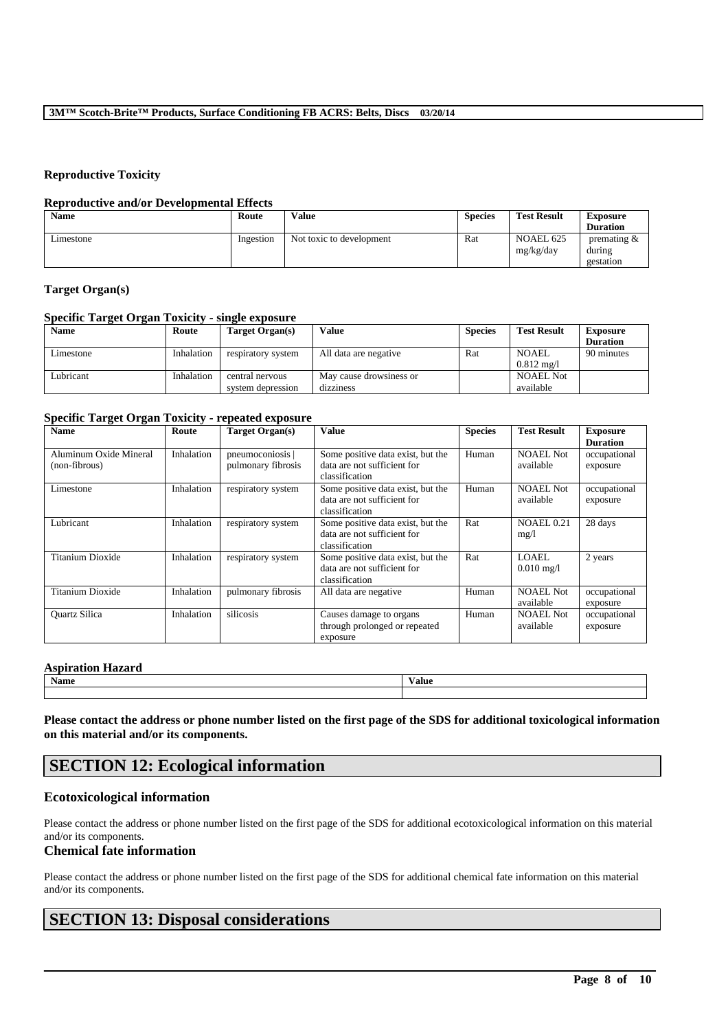### **Reproductive Toxicity**

### **Reproductive and/or Developmental Effects**

| <b>Name</b> | Route     | <b>Value</b>             | <b>Species</b> | <b>Test Result</b>            | <b>Exposure</b><br><b>Duration</b>    |
|-------------|-----------|--------------------------|----------------|-------------------------------|---------------------------------------|
| Limestone   | Ingestion | Not toxic to development | Rat            | <b>NOAEL 625</b><br>mg/kg/day | premating $\&$<br>during<br>gestation |

## **Target Organ(s)**

## **Specific Target Organ Toxicity - single exposure**

| Name      | Route      | Target Organ(s)                      | <b>Value</b>                         | <b>Species</b> | <b>Test Result</b>                    | <b>Exposure</b><br><b>Duration</b> |
|-----------|------------|--------------------------------------|--------------------------------------|----------------|---------------------------------------|------------------------------------|
| Limestone | Inhalation | respiratory system                   | All data are negative                | Rat            | <b>NOAEL</b><br>$0.812 \text{ m}$ g/l | 90 minutes                         |
| Lubricant | Inhalation | central nervous<br>system depression | May cause drowsiness or<br>dizziness |                | <b>NOAEL Not</b><br>available         |                                    |

### **Specific Target Organ Toxicity - repeated exposure**

| -<br><b>Name</b>                        | Route      | Target Organ(s)                      | <b>Value</b>                                                                       | <b>Species</b> | <b>Test Result</b>            | <b>Exposure</b><br><b>Duration</b> |
|-----------------------------------------|------------|--------------------------------------|------------------------------------------------------------------------------------|----------------|-------------------------------|------------------------------------|
| Aluminum Oxide Mineral<br>(non-fibrous) | Inhalation | pneumoconiosis<br>pulmonary fibrosis | Some positive data exist, but the<br>data are not sufficient for<br>classification | Human          | NOAEL Not<br>available        | occupational<br>exposure           |
| Limestone                               | Inhalation | respiratory system                   | Some positive data exist, but the<br>data are not sufficient for<br>classification | Human          | <b>NOAEL Not</b><br>available | occupational<br>exposure           |
| Lubricant                               | Inhalation | respiratory system                   | Some positive data exist, but the<br>data are not sufficient for<br>classification | Rat            | <b>NOAEL 0.21</b><br>mg/1     | 28 days                            |
| Titanium Dioxide                        | Inhalation | respiratory system                   | Some positive data exist, but the<br>data are not sufficient for<br>classification | Rat            | LOAEL.<br>$0.010$ mg/l        | 2 years                            |
| Titanium Dioxide                        | Inhalation | pulmonary fibrosis                   | All data are negative                                                              | Human          | <b>NOAEL Not</b><br>available | occupational<br>exposure           |
| <b>Ouartz Silica</b>                    | Inhalation | silicosis                            | Causes damage to organs<br>through prolonged or repeated<br>exposure               | Human          | <b>NOAEL Not</b><br>available | occupational<br>exposure           |

## **Aspiration Hazard**

**Name Value**

**Please contact the address or phone number listed on the first page of the SDS for additional toxicological information on this material and/or its components.**

# **SECTION 12: Ecological information**

## **Ecotoxicological information**

Please contact the address or phone number listed on the first page of the SDS for additional ecotoxicological information on this material and/or its components.

## **Chemical fate information**

Please contact the address or phone number listed on the first page of the SDS for additional chemical fate information on this material and/or its components.

\_\_\_\_\_\_\_\_\_\_\_\_\_\_\_\_\_\_\_\_\_\_\_\_\_\_\_\_\_\_\_\_\_\_\_\_\_\_\_\_\_\_\_\_\_\_\_\_\_\_\_\_\_\_\_\_\_\_\_\_\_\_\_\_\_\_\_\_\_\_\_\_\_\_\_\_\_\_\_\_\_\_\_\_\_\_\_\_\_\_

## **SECTION 13: Disposal considerations**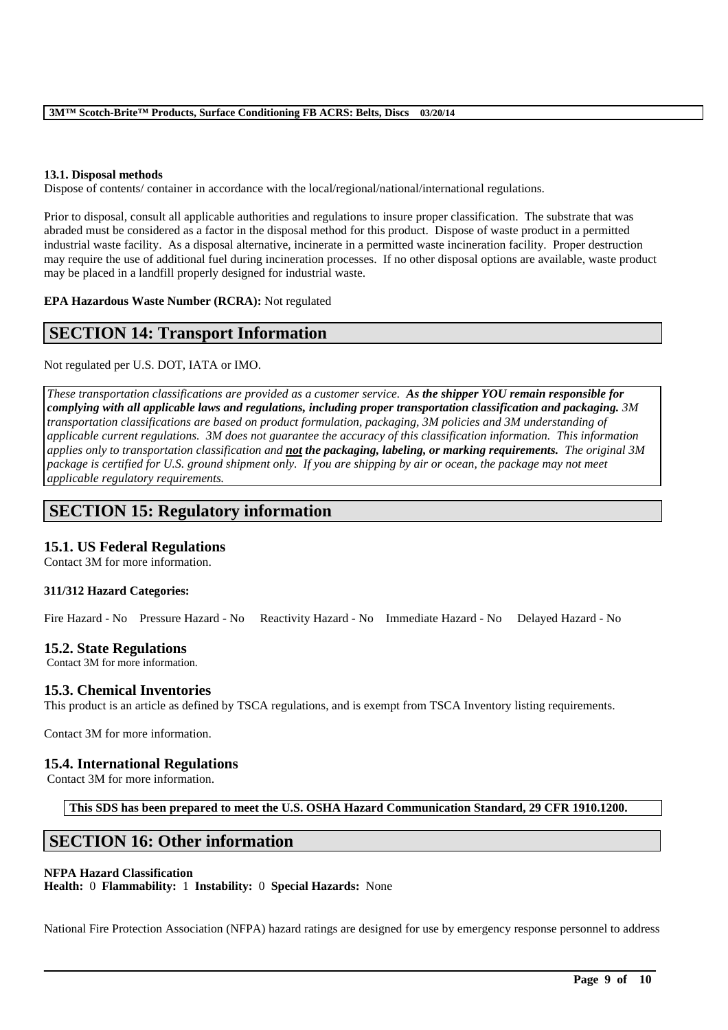## **13.1. Disposal methods**

Dispose of contents/ container in accordance with the local/regional/national/international regulations.

Prior to disposal, consult all applicable authorities and regulations to insure proper classification. The substrate that was abraded must be considered as a factor in the disposal method for this product. Dispose of waste product in a permitted industrial waste facility. As a disposal alternative, incinerate in a permitted waste incineration facility. Proper destruction may require the use of additional fuel during incineration processes. If no other disposal options are available, waste product may be placed in a landfill properly designed for industrial waste.

**EPA Hazardous Waste Number (RCRA):** Not regulated

## **SECTION 14: Transport Information**

Not regulated per U.S. DOT, IATA or IMO.

*These transportation classifications are provided as a customer service. As the shipper YOU remain responsible for complying with all applicable laws and regulations, including proper transportation classification and packaging. 3M transportation classifications are based on product formulation, packaging, 3M policies and 3M understanding of applicable current regulations. 3M does not guarantee the accuracy of this classification information. This information applies only to transportation classification and not the packaging, labeling, or marking requirements. The original 3M package is certified for U.S. ground shipment only. If you are shipping by air or ocean, the package may not meet applicable regulatory requirements.* 

## **SECTION 15: Regulatory information**

## **15.1. US Federal Regulations**

Contact 3M for more information.

## **311/312 Hazard Categories:**

Fire Hazard - No Pressure Hazard - No Reactivity Hazard - No Immediate Hazard - No Delayed Hazard - No

## **15.2. State Regulations**

Contact 3M for more information.

## **15.3. Chemical Inventories**

This product is an article as defined by TSCA regulations, and is exempt from TSCA Inventory listing requirements.

Contact 3M for more information.

## **15.4. International Regulations**

Contact 3M for more information.

**This SDS has been prepared to meet the U.S. OSHA Hazard Communication Standard, 29 CFR 1910.1200.**

## **SECTION 16: Other information**

### **NFPA Hazard Classification**

**Health:** 0 **Flammability:** 1 **Instability:** 0 **Special Hazards:** None

National Fire Protection Association (NFPA) hazard ratings are designed for use by emergency response personnel to address